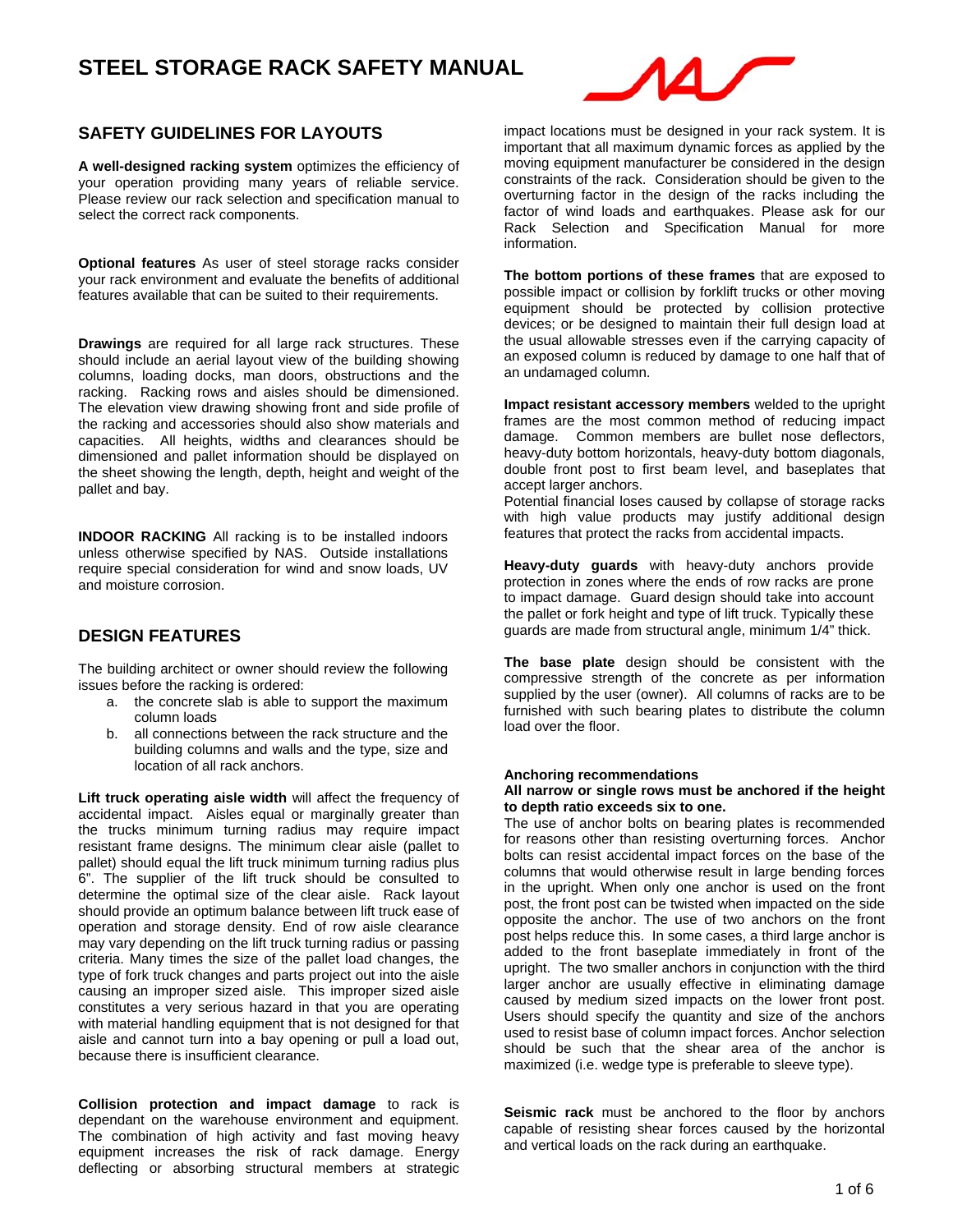

## **SAFETY GUIDELINES FOR LAYOUTS**

**A well-designed racking system** optimizes the efficiency of your operation providing many years of reliable service. Please review our rack selection and specification manual to select the correct rack components.

**Optional features** As user of steel storage racks consider your rack environment and evaluate the benefits of additional features available that can be suited to their requirements.

**Drawings** are required for all large rack structures. These should include an aerial layout view of the building showing columns, loading docks, man doors, obstructions and the racking. Racking rows and aisles should be dimensioned. The elevation view drawing showing front and side profile of the racking and accessories should also show materials and capacities. All heights, widths and clearances should be dimensioned and pallet information should be displayed on the sheet showing the length, depth, height and weight of the pallet and bay.

**INDOOR RACKING** All racking is to be installed indoors unless otherwise specified by NAS. Outside installations require special consideration for wind and snow loads, UV and moisture corrosion.

## **DESIGN FEATURES**

The building architect or owner should review the following issues before the racking is ordered:

- a. the concrete slab is able to support the maximum column loads
- b. all connections between the rack structure and the building columns and walls and the type, size and location of all rack anchors.

**Lift truck operating aisle width** will affect the frequency of accidental impact. Aisles equal or marginally greater than the trucks minimum turning radius may require impact resistant frame designs. The minimum clear aisle (pallet to pallet) should equal the lift truck minimum turning radius plus 6". The supplier of the lift truck should be consulted to determine the optimal size of the clear aisle. Rack layout should provide an optimum balance between lift truck ease of operation and storage density. End of row aisle clearance may vary depending on the lift truck turning radius or passing criteria. Many times the size of the pallet load changes, the type of fork truck changes and parts project out into the aisle causing an improper sized aisle. This improper sized aisle constitutes a very serious hazard in that you are operating with material handling equipment that is not designed for that aisle and cannot turn into a bay opening or pull a load out, because there is insufficient clearance.

**Collision protection and impact damage** to rack is dependant on the warehouse environment and equipment. The combination of high activity and fast moving heavy equipment increases the risk of rack damage. Energy deflecting or absorbing structural members at strategic impact locations must be designed in your rack system. It is important that all maximum dynamic forces as applied by the moving equipment manufacturer be considered in the design constraints of the rack. Consideration should be given to the overturning factor in the design of the racks including the factor of wind loads and earthquakes. Please ask for our Rack Selection and Specification Manual for more information.

**The bottom portions of these frames** that are exposed to possible impact or collision by forklift trucks or other moving equipment should be protected by collision protective devices; or be designed to maintain their full design load at the usual allowable stresses even if the carrying capacity of an exposed column is reduced by damage to one half that of an undamaged column.

**Impact resistant accessory members** welded to the upright frames are the most common method of reducing impact damage. Common members are bullet nose deflectors, heavy-duty bottom horizontals, heavy-duty bottom diagonals, double front post to first beam level, and baseplates that accept larger anchors.

Potential financial loses caused by collapse of storage racks with high value products may justify additional design features that protect the racks from accidental impacts.

**Heavy-duty guards** with heavy-duty anchors provide protection in zones where the ends of row racks are prone to impact damage. Guard design should take into account the pallet or fork height and type of lift truck. Typically these guards are made from structural angle, minimum 1/4" thick.

**The base plate** design should be consistent with the compressive strength of the concrete as per information supplied by the user (owner).All columns of racks are to be furnished with such bearing plates to distribute the column load over the floor.

#### **Anchoring recommendations**

#### **All narrow or single rows must be anchored if the height to depth ratio exceeds six to one.**

The use of anchor bolts on bearing plates is recommended for reasons other than resisting overturning forces. Anchor bolts can resist accidental impact forces on the base of the columns that would otherwise result in large bending forces in the upright. When only one anchor is used on the front post, the front post can be twisted when impacted on the side opposite the anchor. The use of two anchors on the front post helps reduce this. In some cases, a third large anchor is added to the front baseplate immediately in front of the upright. The two smaller anchors in conjunction with the third larger anchor are usually effective in eliminating damage caused by medium sized impacts on the lower front post. Users should specify the quantity and size of the anchors used to resist base of column impact forces. Anchor selection should be such that the shear area of the anchor is maximized (i.e. wedge type is preferable to sleeve type).

**Seismic rack** must be anchored to the floor by anchors capable of resisting shear forces caused by the horizontal and vertical loads on the rack during an earthquake.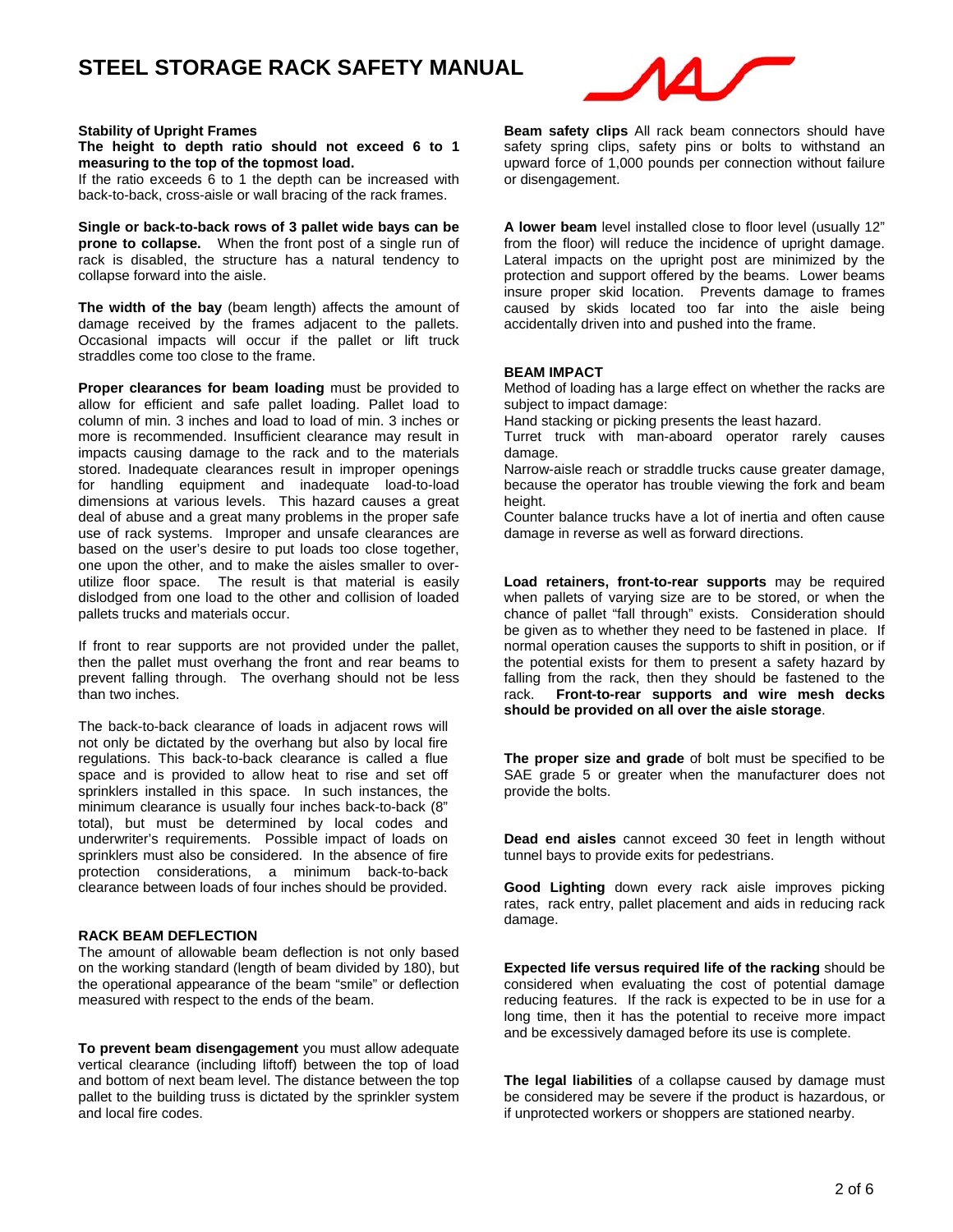

### **Stability of Upright Frames**

#### **The height to depth ratio should not exceed 6 to 1 measuring to the top of the topmost load.**

If the ratio exceeds 6 to 1 the depth can be increased with back-to-back, cross-aisle or wall bracing of the rack frames.

**Single or back-to-back rows of 3 pallet wide bays can be prone to collapse.** When the front post of a single run of rack is disabled, the structure has a natural tendency to collapse forward into the aisle.

**The width of the bay** (beam length) affects the amount of damage received by the frames adjacent to the pallets. Occasional impacts will occur if the pallet or lift truck straddles come too close to the frame.

**Proper clearances for beam loading** must be provided to allow for efficient and safe pallet loading. Pallet load to column of min. 3 inches and load to load of min. 3 inches or more is recommended. Insufficient clearance may result in impacts causing damage to the rack and to the materials stored. Inadequate clearances result in improper openings for handling equipment and inadequate load-to-load dimensions at various levels. This hazard causes a great deal of abuse and a great many problems in the proper safe use of rack systems. Improper and unsafe clearances are based on the user's desire to put loads too close together, one upon the other, and to make the aisles smaller to overutilize floor space. The result is that material is easily dislodged from one load to the other and collision of loaded pallets trucks and materials occur.

If front to rear supports are not provided under the pallet, then the pallet must overhang the front and rear beams to prevent falling through. The overhang should not be less than two inches.

The back-to-back clearance of loads in adjacent rows will not only be dictated by the overhang but also by local fire regulations. This back-to-back clearance is called a flue space and is provided to allow heat to rise and set off sprinklers installed in this space. In such instances, the minimum clearance is usually four inches back-to-back (8" total), but must be determined by local codes and underwriter's requirements. Possible impact of loads on sprinklers must also be considered. In the absence of fire protection considerations, a minimum back-to-back clearance between loads of four inches should be provided.

### **RACK BEAM DEFLECTION**

The amount of allowable beam deflection is not only based on the working standard (length of beam divided by 180), but the operational appearance of the beam "smile" or deflection measured with respect to the ends of the beam.

**To prevent beam disengagement** you must allow adequate vertical clearance (including liftoff) between the top of load and bottom of next beam level. The distance between the top pallet to the building truss is dictated by the sprinkler system and local fire codes.

**Beam safety clips** All rack beam connectors should have safety spring clips, safety pins or bolts to withstand an upward force of 1,000 pounds per connection without failure or disengagement.

**A lower beam** level installed close to floor level (usually 12" from the floor) will reduce the incidence of upright damage. Lateral impacts on the upright post are minimized by the protection and support offered by the beams. Lower beams insure proper skid location. Prevents damage to frames caused by skids located too far into the aisle being accidentally driven into and pushed into the frame.

### **BEAM IMPACT**

Method of loading has a large effect on whether the racks are subject to impact damage:

Hand stacking or picking presents the least hazard.

Turret truck with man-aboard operator rarely causes damage.

Narrow-aisle reach or straddle trucks cause greater damage, because the operator has trouble viewing the fork and beam height.

Counter balance trucks have a lot of inertia and often cause damage in reverse as well as forward directions.

**Load retainers, front-to-rear supports** may be required when pallets of varying size are to be stored, or when the chance of pallet "fall through" exists. Consideration should be given as to whether they need to be fastened in place. If normal operation causes the supports to shift in position, or if the potential exists for them to present a safety hazard by falling from the rack, then they should be fastened to the rack. **Front-to-rear supports and wire mesh decks should be provided on all over the aisle storage**.

**The proper size and grade** of bolt must be specified to be SAE grade 5 or greater when the manufacturer does not provide the bolts.

**Dead end aisles** cannot exceed 30 feet in length without tunnel bays to provide exits for pedestrians.

**Good Lighting** down every rack aisle improves picking rates, rack entry, pallet placement and aids in reducing rack damage.

**Expected life versus required life of the racking** should be considered when evaluating the cost of potential damage reducing features. If the rack is expected to be in use for a long time, then it has the potential to receive more impact and be excessively damaged before its use is complete.

**The legal liabilities** of a collapse caused by damage must be considered may be severe if the product is hazardous, or if unprotected workers or shoppers are stationed nearby.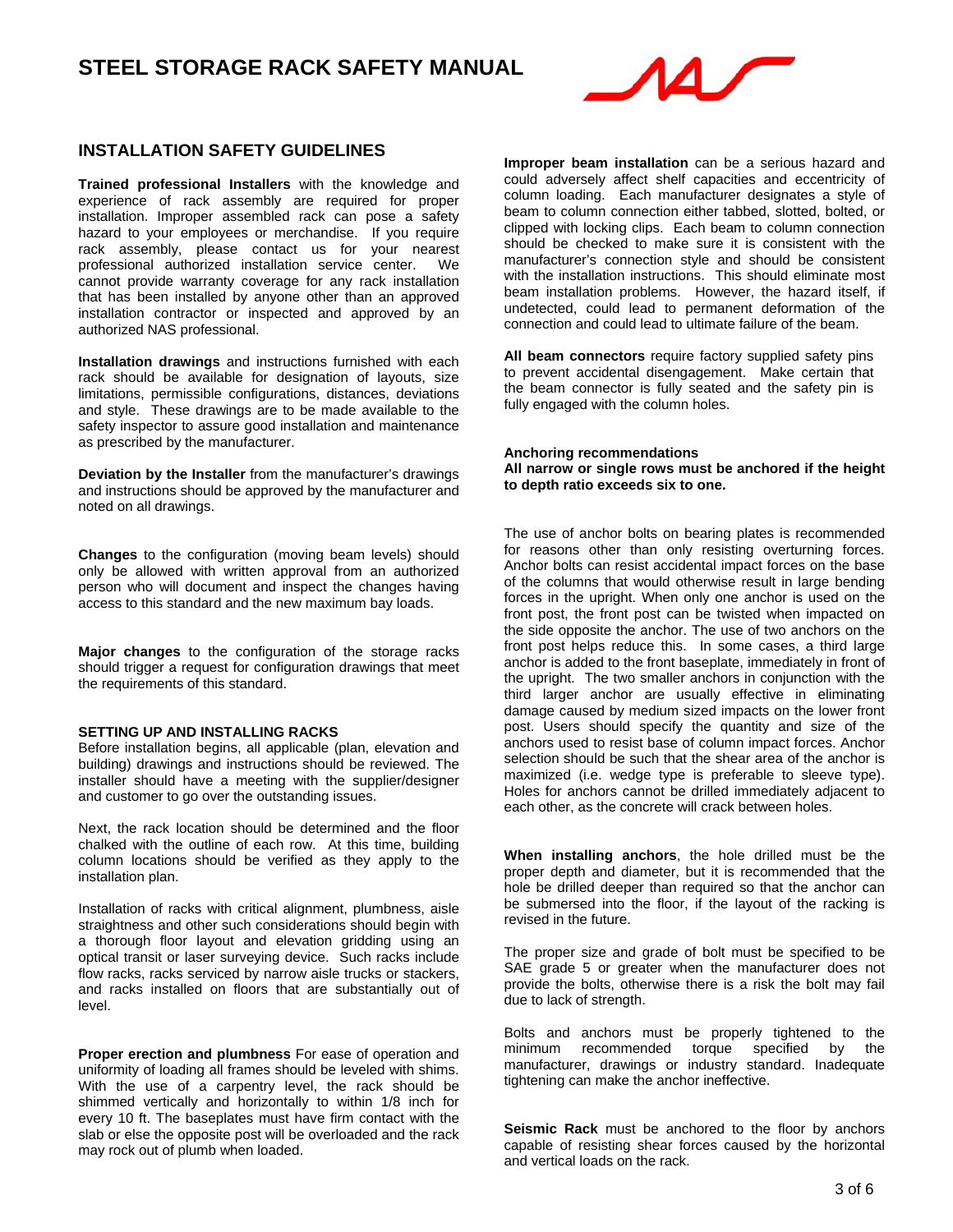

### **INSTALLATION SAFETY GUIDELINES**

**Trained professional Installers** with the knowledge and experience of rack assembly are required for proper installation. Improper assembled rack can pose a safety hazard to your employees or merchandise. If you require rack assembly, please contact us for your nearest professional authorized installation service center. We cannot provide warranty coverage for any rack installation that has been installed by anyone other than an approved installation contractor or inspected and approved by an authorized NAS professional.

**Installation drawings** and instructions furnished with each rack should be available for designation of layouts, size limitations, permissible configurations, distances, deviations and style. These drawings are to be made available to the safety inspector to assure good installation and maintenance as prescribed by the manufacturer.

**Deviation by the Installer** from the manufacturer's drawings and instructions should be approved by the manufacturer and noted on all drawings.

**Changes** to the configuration (moving beam levels) should only be allowed with written approval from an authorized person who will document and inspect the changes having access to this standard and the new maximum bay loads.

**Major changes** to the configuration of the storage racks should trigger a request for configuration drawings that meet the requirements of this standard.

#### **SETTING UP AND INSTALLING RACKS**

Before installation begins, all applicable (plan, elevation and building) drawings and instructions should be reviewed. The installer should have a meeting with the supplier/designer and customer to go over the outstanding issues.

Next, the rack location should be determined and the floor chalked with the outline of each row. At this time, building column locations should be verified as they apply to the installation plan.

Installation of racks with critical alignment, plumbness, aisle straightness and other such considerations should begin with a thorough floor layout and elevation gridding using an optical transit or laser surveying device. Such racks include flow racks, racks serviced by narrow aisle trucks or stackers, and racks installed on floors that are substantially out of level.

**Proper erection and plumbness** For ease of operation and uniformity of loading all frames should be leveled with shims. With the use of a carpentry level, the rack should be shimmed vertically and horizontally to within 1/8 inch for every 10 ft. The baseplates must have firm contact with the slab or else the opposite post will be overloaded and the rack may rock out of plumb when loaded.

**Improper beam installation** can be a serious hazard and could adversely affect shelf capacities and eccentricity of column loading. Each manufacturer designates a style of beam to column connection either tabbed, slotted, bolted, or clipped with locking clips. Each beam to column connection should be checked to make sure it is consistent with the manufacturer's connection style and should be consistent with the installation instructions. This should eliminate most beam installation problems. However, the hazard itself, if undetected, could lead to permanent deformation of the connection and could lead to ultimate failure of the beam.

**All beam connectors** require factory supplied safety pins to prevent accidental disengagement. Make certain that the beam connector is fully seated and the safety pin is fully engaged with the column holes.

#### **Anchoring recommendations All narrow or single rows must be anchored if the height to depth ratio exceeds six to one.**

The use of anchor bolts on bearing plates is recommended for reasons other than only resisting overturning forces. Anchor bolts can resist accidental impact forces on the base of the columns that would otherwise result in large bending forces in the upright. When only one anchor is used on the front post, the front post can be twisted when impacted on the side opposite the anchor. The use of two anchors on the front post helps reduce this. In some cases, a third large anchor is added to the front baseplate, immediately in front of the upright. The two smaller anchors in conjunction with the third larger anchor are usually effective in eliminating damage caused by medium sized impacts on the lower front post. Users should specify the quantity and size of the anchors used to resist base of column impact forces. Anchor selection should be such that the shear area of the anchor is maximized (i.e. wedge type is preferable to sleeve type). Holes for anchors cannot be drilled immediately adjacent to each other, as the concrete will crack between holes.

**When installing anchors**, the hole drilled must be the proper depth and diameter, but it is recommended that the hole be drilled deeper than required so that the anchor can be submersed into the floor, if the layout of the racking is revised in the future.

The proper size and grade of bolt must be specified to be SAE grade 5 or greater when the manufacturer does not provide the bolts, otherwise there is a risk the bolt may fail due to lack of strength.

Bolts and anchors must be properly tightened to the minimum recommended torque specified by the manufacturer, drawings or industry standard. Inadequate tightening can make the anchor ineffective.

**Seismic Rack** must be anchored to the floor by anchors capable of resisting shear forces caused by the horizontal and vertical loads on the rack.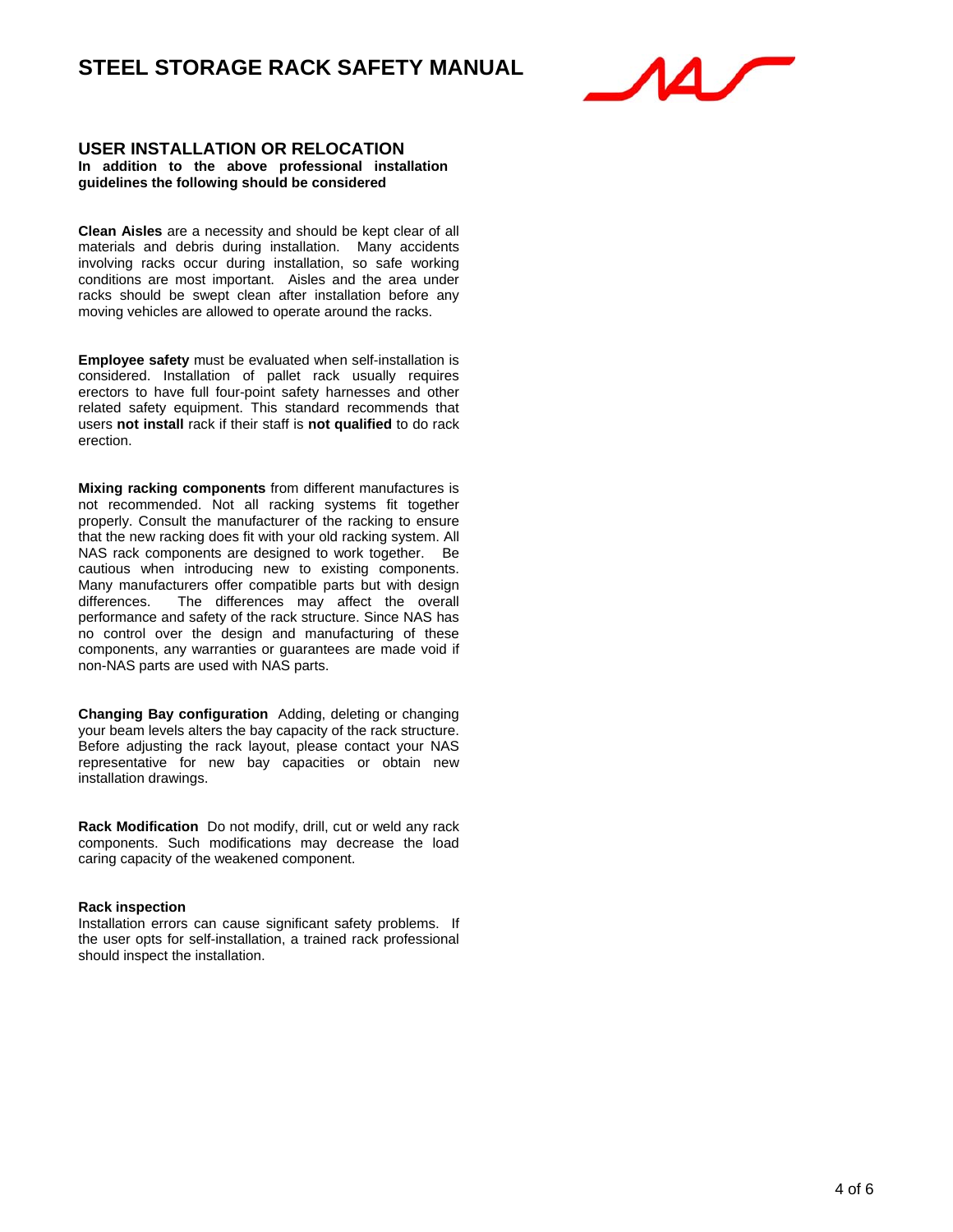

#### **USER INSTALLATION OR RELOCATION In addition to the above professional installation guidelines the following should be considered**

**Clean Aisles** are a necessity and should be kept clear of all materials and debris during installation. Many accidents involving racks occur during installation, so safe working conditions are most important. Aisles and the area under racks should be swept clean after installation before any moving vehicles are allowed to operate around the racks.

**Employee safety** must be evaluated when self-installation is considered. Installation of pallet rack usually requires erectors to have full four-point safety harnesses and other related safety equipment. This standard recommends that users **not install** rack if their staff is **not qualified** to do rack erection.

**Mixing racking components** from different manufactures is not recommended. Not all racking systems fit together properly. Consult the manufacturer of the racking to ensure that the new racking does fit with your old racking system. All NAS rack components are designed to work together. Be cautious when introducing new to existing components. Many manufacturers offer compatible parts but with design differences. The differences may affect the overall The differences may affect the overall performance and safety of the rack structure. Since NAS has no control over the design and manufacturing of these components, any warranties or guarantees are made void if non-NAS parts are used with NAS parts.

**Changing Bay configuration** Adding, deleting or changing your beam levels alters the bay capacity of the rack structure. Before adjusting the rack layout, please contact your NAS representative for new bay capacities or obtain new installation drawings.

**Rack Modification** Do not modify, drill, cut or weld any rack components. Such modifications may decrease the load caring capacity of the weakened component.

#### **Rack inspection**

Installation errors can cause significant safety problems. If the user opts for self-installation, a trained rack professional should inspect the installation.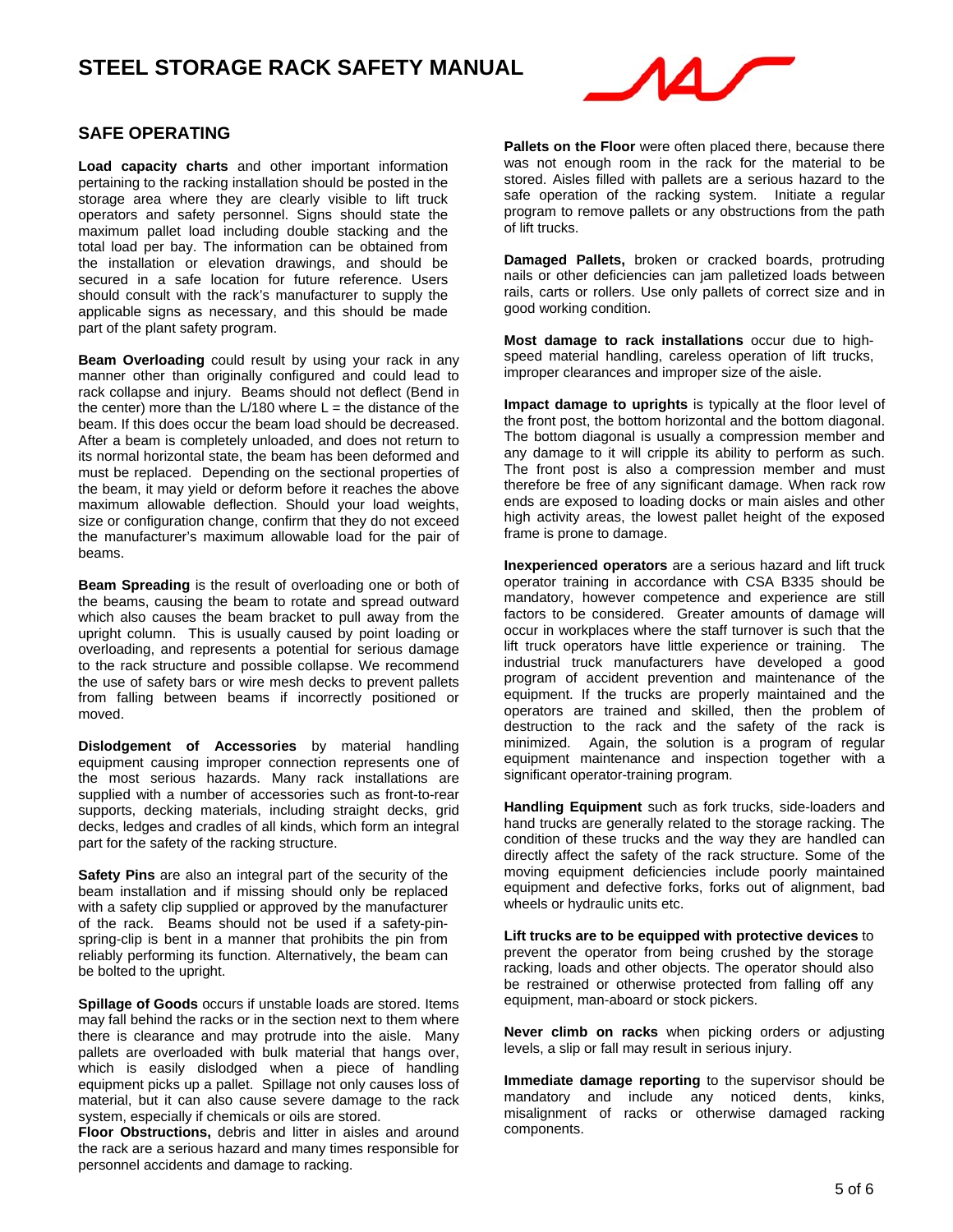

## **SAFE OPERATING**

**Load capacity charts** and other important information pertaining to the racking installation should be posted in the storage area where they are clearly visible to lift truck operators and safety personnel. Signs should state the maximum pallet load including double stacking and the total load per bay. The information can be obtained from the installation or elevation drawings, and should be secured in a safe location for future reference. Users should consult with the rack's manufacturer to supply the applicable signs as necessary, and this should be made part of the plant safety program.

**Beam Overloading** could result by using your rack in any manner other than originally configured and could lead to rack collapse and injury. Beams should not deflect (Bend in the center) more than the  $L/180$  where  $L =$  the distance of the beam. If this does occur the beam load should be decreased. After a beam is completely unloaded, and does not return to its normal horizontal state, the beam has been deformed and must be replaced. Depending on the sectional properties of the beam, it may yield or deform before it reaches the above maximum allowable deflection. Should your load weights, size or configuration change, confirm that they do not exceed the manufacturer's maximum allowable load for the pair of beams.

**Beam Spreading** is the result of overloading one or both of the beams, causing the beam to rotate and spread outward which also causes the beam bracket to pull away from the upright column. This is usually caused by point loading or overloading, and represents a potential for serious damage to the rack structure and possible collapse. We recommend the use of safety bars or wire mesh decks to prevent pallets from falling between beams if incorrectly positioned or moved.

**Dislodgement of Accessories** by material handling equipment causing improper connection represents one of the most serious hazards. Many rack installations are supplied with a number of accessories such as front-to-rear supports, decking materials, including straight decks, grid decks, ledges and cradles of all kinds, which form an integral part for the safety of the racking structure.

**Safety Pins** are also an integral part of the security of the beam installation and if missing should only be replaced with a safety clip supplied or approved by the manufacturer of the rack. Beams should not be used if a safety-pinspring-clip is bent in a manner that prohibits the pin from reliably performing its function. Alternatively, the beam can be bolted to the upright.

**Spillage of Goods** occurs if unstable loads are stored. Items may fall behind the racks or in the section next to them where there is clearance and may protrude into the aisle. Many pallets are overloaded with bulk material that hangs over, which is easily dislodged when a piece of handling equipment picks up a pallet. Spillage not only causes loss of material, but it can also cause severe damage to the rack system, especially if chemicals or oils are stored.

**Floor Obstructions,** debris and litter in aisles and around the rack are a serious hazard and many times responsible for personnel accidents and damage to racking.

**Pallets on the Floor** were often placed there, because there was not enough room in the rack for the material to be stored. Aisles filled with pallets are a serious hazard to the safe operation of the racking system. Initiate a regular program to remove pallets or any obstructions from the path of lift trucks.

**Damaged Pallets,** broken or cracked boards, protruding nails or other deficiencies can jam palletized loads between rails, carts or rollers. Use only pallets of correct size and in good working condition.

**Most damage to rack installations** occur due to highspeed material handling, careless operation of lift trucks, improper clearances and improper size of the aisle.

**Impact damage to uprights** is typically at the floor level of the front post, the bottom horizontal and the bottom diagonal. The bottom diagonal is usually a compression member and any damage to it will cripple its ability to perform as such. The front post is also a compression member and must therefore be free of any significant damage. When rack row ends are exposed to loading docks or main aisles and other high activity areas, the lowest pallet height of the exposed frame is prone to damage.

**Inexperienced operators** are a serious hazard and lift truck operator training in accordance with CSA B335 should be mandatory, however competence and experience are still factors to be considered. Greater amounts of damage will occur in workplaces where the staff turnover is such that the lift truck operators have little experience or training. The industrial truck manufacturers have developed a good program of accident prevention and maintenance of the equipment. If the trucks are properly maintained and the operators are trained and skilled, then the problem of destruction to the rack and the safety of the rack is minimized. Again, the solution is a program of regular equipment maintenance and inspection together with a significant operator-training program.

**Handling Equipment** such as fork trucks, side-loaders and hand trucks are generally related to the storage racking. The condition of these trucks and the way they are handled can directly affect the safety of the rack structure. Some of the moving equipment deficiencies include poorly maintained equipment and defective forks, forks out of alignment, bad wheels or hydraulic units etc.

**Lift trucks are to be equipped with protective devices** to prevent the operator from being crushed by the storage racking, loads and other objects. The operator should also be restrained or otherwise protected from falling off any equipment, man-aboard or stock pickers.

**Never climb on racks** when picking orders or adjusting levels, a slip or fall may result in serious injury.

**Immediate damage reporting** to the supervisor should be mandatory and include any noticed dents, kinks, misalignment of racks or otherwise damaged racking components.